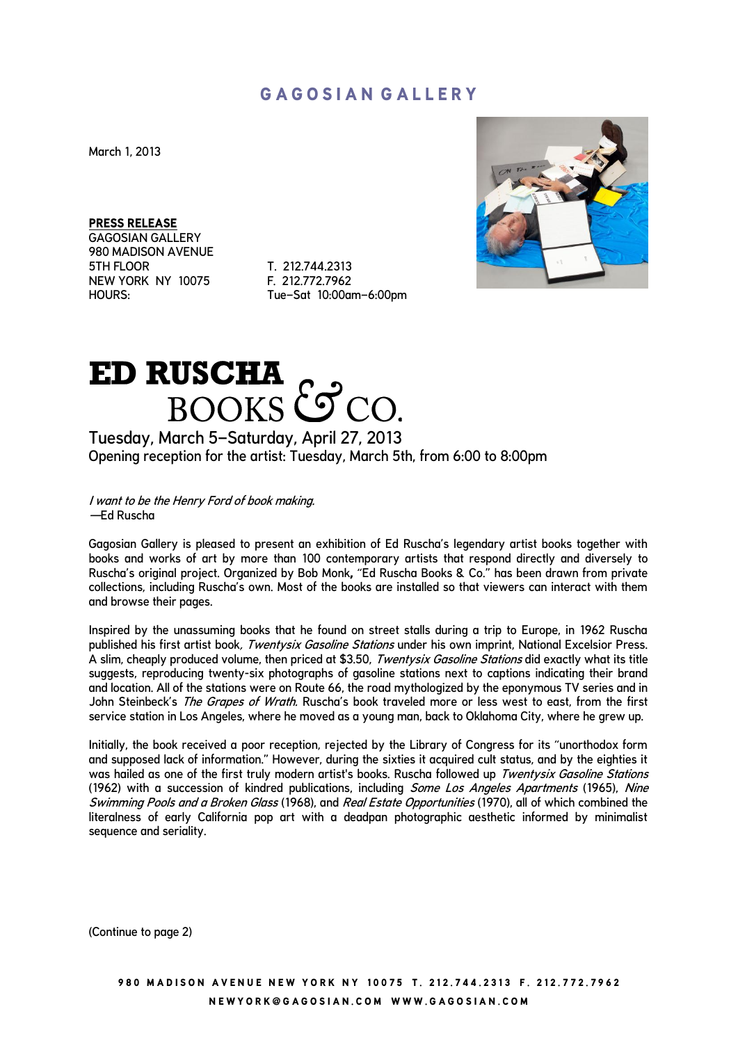## **G A G O S I A N G A L L E R Y**

March 1, 2013

**PRESS RELEASE**

GAGOSIAN GALLERY 980 MADISON AVENUE 5TH FLOOR T. 212.744.2313<br>NEW YORK NY 10075 F. 212.772.7962 NEW YORK NY 10075

HOURS: Tue–Sat 10:00am–6:00pm



## ED RUSCHA COCO.

Tuesday, March 5–Saturday, April 27, 2013 Opening reception for the artist: Tuesday, March 5th, from 6:00 to 8:00pm

I want to be the Henry Ford of book making. —Ed Ruscha

Gagosian Gallery is pleased to present an exhibition of Ed Ruscha's legendary artist books together with books and works of art by more than 100 contemporary artists that respond directly and diversely to Ruscha's original project. Organized by Bob Monk**,** "Ed Ruscha Books & Co." has been drawn from private collections, including Ruscha's own. Most of the books are installed so that viewers can interact with them and browse their pages.

Inspired by the unassuming books that he found on street stalls during a trip to Europe, in 1962 Ruscha published his first artist book, Twentysix Gasoline Stations under his own imprint, National Excelsior Press. A slim, cheaply produced volume, then priced at \$3.50, Twentysix Gasoline Stations did exactly what its title suggests, reproducing twenty-six photographs of gasoline stations next to captions indicating their brand and location. All of the stations were on Route 66, the road mythologized by the eponymous TV series and in John Steinbeck's *The Grapes of Wrath*. Ruscha's book traveled more or less west to east, from the first service station in Los Angeles, where he moved as a young man, back to Oklahoma City, where he grew up.

Initially, the book received a poor reception, rejected by the Library of Congress for its "unorthodox form and supposed lack of information." However, during the sixties it acquired cult status, and by the eighties it was hailed as one of the first truly modern artist's books. Ruscha followed up Twentysix Gasoline Stations (1962) with a succession of kindred publications, including Some Los Angeles Apartments (1965), Nine Swimming Pools and a Broken Glass (1968), and Real Estate Opportunities (1970), all of which combined the literalness of early California pop art with a deadpan photographic aesthetic informed by minimalist sequence and seriality.

(Continue to page 2)